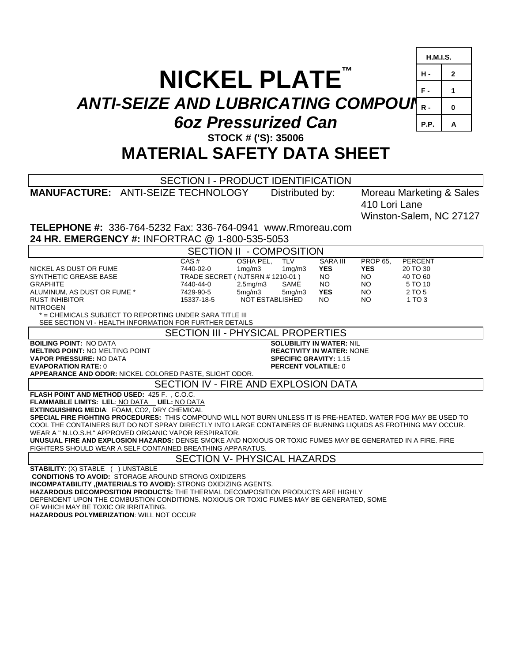# **NICKEL PLATE™**

**ANTI-SEIZE AND LUBRICATING COMPOUT** 

# *6oz Pressurized Can*

**H.M.I.S.**

**0**

**2**

**1**

**A**

**H - F - R -**

**P.P.**

**STOCK # ('S): 35006** 

# **MATERIAL SAFETY DATA SHEET**

| <b>SECTION I - PRODUCT IDENTIFICATION</b>                                                                                                                                                                                        |                                    |                     |            |                          |                         |
|----------------------------------------------------------------------------------------------------------------------------------------------------------------------------------------------------------------------------------|------------------------------------|---------------------|------------|--------------------------|-------------------------|
| <b>MANUFACTURE: ANTI-SEIZE TECHNOLOGY</b>                                                                                                                                                                                        |                                    | Distributed by:     |            | Moreau Marketing & Sales |                         |
|                                                                                                                                                                                                                                  |                                    |                     |            | 410 Lori Lane            |                         |
|                                                                                                                                                                                                                                  |                                    |                     |            |                          |                         |
|                                                                                                                                                                                                                                  |                                    |                     |            |                          | Winston-Salem, NC 27127 |
| <b>TELEPHONE #: 336-764-5232 Fax: 336-764-0941 www.Rmoreau.com</b>                                                                                                                                                               |                                    |                     |            |                          |                         |
| 24 HR. EMERGENCY #: INFORTRAC @ 1-800-535-5053                                                                                                                                                                                   |                                    |                     |            |                          |                         |
| <b>SECTION II - COMPOSITION</b>                                                                                                                                                                                                  |                                    |                     |            |                          |                         |
|                                                                                                                                                                                                                                  | CAS#<br>OSHA PEL.                  | <b>TLV</b>          | SARA III   | <b>PROP 65.</b>          | <b>PERCENT</b>          |
| NICKEL AS DUST OR FUME                                                                                                                                                                                                           | 1mg/m3<br>7440-02-0                | 1mg/m3              | <b>YES</b> | <b>YES</b>               | 20 TO 30                |
| SYNTHETIC GREASE BASE                                                                                                                                                                                                            | TRADE SECRET (NJTSRN # 1210-01)    |                     | <b>NO</b>  | <b>NO</b>                | 40 TO 60                |
| <b>GRAPHITE</b>                                                                                                                                                                                                                  | 2.5 <sub>mq</sub> /m3<br>7440-44-0 | <b>SAME</b>         | NO.        | NO.                      | 5 TO 10                 |
| ALUMINUM, AS DUST OR FUME *                                                                                                                                                                                                      | 7429-90-5<br>5 <sub>mq</sub> /m3   | 5 <sub>mq</sub> /m3 | <b>YES</b> | NO.                      | 2 TO 5                  |
| <b>RUST INHIBITOR</b><br><b>NITROGEN</b>                                                                                                                                                                                         | 15337-18-5                         | NOT ESTABLISHED     | NO.        | NO.                      | 1 TO 3                  |
| * = CHEMICALS SUBJECT TO REPORTING UNDER SARA TITLE III                                                                                                                                                                          |                                    |                     |            |                          |                         |
| SEE SECTION VI - HEALTH INFORMATION FOR FURTHER DETAILS                                                                                                                                                                          |                                    |                     |            |                          |                         |
| <b>SECTION III - PHYSICAL PROPERTIES</b>                                                                                                                                                                                         |                                    |                     |            |                          |                         |
| <b>BOILING POINT: NO DATA</b><br><b>SOLUBILITY IN WATER: NIL</b>                                                                                                                                                                 |                                    |                     |            |                          |                         |
| <b>MELTING POINT: NO MELTING POINT</b><br><b>REACTIVITY IN WATER: NONE</b>                                                                                                                                                       |                                    |                     |            |                          |                         |
| <b>VAPOR PRESSURE: NO DATA</b>                                                                                                                                                                                                   | <b>SPECIFIC GRAVITY: 1.15</b>      |                     |            |                          |                         |
| <b>EVAPORATION RATE: 0</b>                                                                                                                                                                                                       | <b>PERCENT VOLATILE: 0</b>         |                     |            |                          |                         |
| APPEARANCE AND ODOR: NICKEL COLORED PASTE, SLIGHT ODOR.                                                                                                                                                                          |                                    |                     |            |                          |                         |
| SECTION IV - FIRE AND EXPLOSION DATA                                                                                                                                                                                             |                                    |                     |            |                          |                         |
| FLASH POINT AND METHOD USED: 425 F., C.O.C.                                                                                                                                                                                      |                                    |                     |            |                          |                         |
| FLAMMABLE LIMITS: LEL: NO DATA UEL: NO DATA                                                                                                                                                                                      |                                    |                     |            |                          |                         |
| EXTINGUISHING MEDIA: FOAM, CO2, DRY CHEMICAL                                                                                                                                                                                     |                                    |                     |            |                          |                         |
| SPECIAL FIRE FIGHTING PROCEDURES: THIS COMPOUND WILL NOT BURN UNLESS IT IS PRE-HEATED. WATER FOG MAY BE USED TO<br>COOL THE CONTAINERS BUT DO NOT SPRAY DIRECTLY INTO LARGE CONTAINERS OF BURNING LIQUIDS AS FROTHING MAY OCCUR. |                                    |                     |            |                          |                         |
| WEAR A " N.I.O.S.H." APPROVED ORGANIC VAPOR RESPIRATOR.                                                                                                                                                                          |                                    |                     |            |                          |                         |
| UNUSUAL FIRE AND EXPLOSION HAZARDS: DENSE SMOKE AND NOXIOUS OR TOXIC FUMES MAY BE GENERATED IN A FIRE. FIRE                                                                                                                      |                                    |                     |            |                          |                         |
| FIGHTERS SHOULD WEAR A SELF CONTAINED BREATHING APPARATUS.                                                                                                                                                                       |                                    |                     |            |                          |                         |
| <b>SECTION V- PHYSICAL HAZARDS</b>                                                                                                                                                                                               |                                    |                     |            |                          |                         |
| <b>STABILITY: (X) STABLE ( ) UNSTABLE</b>                                                                                                                                                                                        |                                    |                     |            |                          |                         |
| <b>CONDITIONS TO AVOID: STORAGE AROUND STRONG OXIDIZERS</b>                                                                                                                                                                      |                                    |                     |            |                          |                         |
| INCOMPATABILITY ,(MATERIALS TO AVOID): STRONG OXIDIZING AGENTS.                                                                                                                                                                  |                                    |                     |            |                          |                         |
| HAZARDOUS DECOMPOSITION PRODUCTS: THE THERMAL DECOMPOSITION PRODUCTS ARE HIGHLY                                                                                                                                                  |                                    |                     |            |                          |                         |
| DEPENDENT UPON THE COMBUSTION CONDITIONS. NOXIOUS OR TOXIC FUMES MAY BE GENERATED, SOME                                                                                                                                          |                                    |                     |            |                          |                         |

OF WHICH MAY BE TOXIC OR IRRITATING.

**HAZARDOUS POLYMERIZATION**: WILL NOT OCCUR